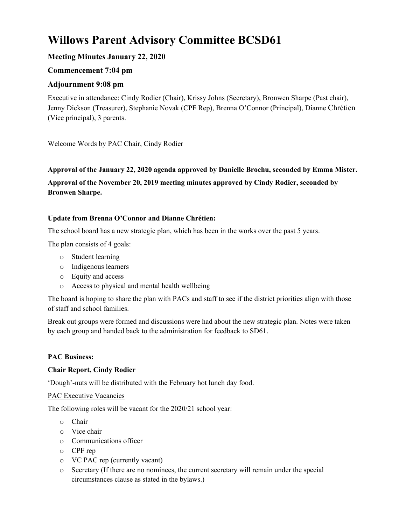# **Willows Parent Advisory Committee BCSD61**

# **Meeting Minutes January 22, 2020**

# **Commencement 7:04 pm**

# **Adjournment 9:08 pm**

Executive in attendance: Cindy Rodier (Chair), Krissy Johns (Secretary), Bronwen Sharpe (Past chair), Jenny Dickson (Treasurer), Stephanie Novak (CPF Rep), Brenna O'Connor (Principal), Dianne Chrétien (Vice principal), 3 parents.

Welcome Words by PAC Chair, Cindy Rodier

# **Approval of the January 22, 2020 agenda approved by Danielle Brochu, seconded by Emma Mister.**

**Approval of the November 20, 2019 meeting minutes approved by Cindy Rodier, seconded by Bronwen Sharpe.**

## **Update from Brenna O'Connor and Dianne Chrétien:**

The school board has a new strategic plan, which has been in the works over the past 5 years.

The plan consists of 4 goals:

- o Student learning
- o Indigenous learners
- o Equity and access
- o Access to physical and mental health wellbeing

The board is hoping to share the plan with PACs and staff to see if the district priorities align with those of staff and school families.

Break out groups were formed and discussions were had about the new strategic plan. Notes were taken by each group and handed back to the administration for feedback to SD61.

# **PAC Business:**

## **Chair Report, Cindy Rodier**

'Dough'-nuts will be distributed with the February hot lunch day food.

## PAC Executive Vacancies

The following roles will be vacant for the 2020/21 school year:

- o Chair
- o Vice chair
- o Communications officer
- o CPF rep
- o VC PAC rep (currently vacant)
- o Secretary (If there are no nominees, the current secretary will remain under the special circumstances clause as stated in the bylaws.)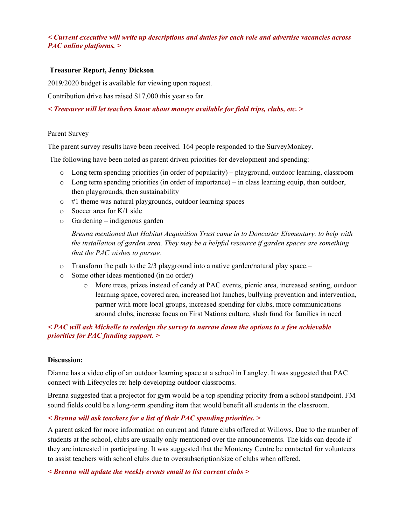### *< Current executive will write up descriptions and duties for each role and advertise vacancies across PAC online platforms. >*

### **Treasurer Report, Jenny Dickson**

2019/2020 budget is available for viewing upon request.

Contribution drive has raised \$17,000 this year so far.

*< Treasurer will let teachers know about moneys available for field trips, clubs, etc. >*

#### Parent Survey

The parent survey results have been received. 164 people responded to the SurveyMonkey.

The following have been noted as parent driven priorities for development and spending:

- o Long term spending priorities (in order of popularity) playground, outdoor learning, classroom
- o Long term spending priorities (in order of importance) in class learning equip, then outdoor, then playgrounds, then sustainability
- o #1 theme was natural playgrounds, outdoor learning spaces
- o Soccer area for K/1 side
- o Gardening indigenous garden

*Brenna mentioned that Habitat Acquisition Trust came in to Doncaster Elementary. to help with the installation of garden area. They may be a helpful resource if garden spaces are something that the PAC wishes to pursue.*

- o Transform the path to the 2/3 playground into a native garden/natural play space.=
- o Some other ideas mentioned (in no order)
	- o More trees, prizes instead of candy at PAC events, picnic area, increased seating, outdoor learning space, covered area, increased hot lunches, bullying prevention and intervention, partner with more local groups, increased spending for clubs, more communications around clubs, increase focus on First Nations culture, slush fund for families in need

### *< PAC will ask Michelle to redesign the survey to narrow down the options to a few achievable priorities for PAC funding support. >*

#### **Discussion:**

Dianne has a video clip of an outdoor learning space at a school in Langley. It was suggested that PAC connect with Lifecycles re: help developing outdoor classrooms.

Brenna suggested that a projector for gym would be a top spending priority from a school standpoint. FM sound fields could be a long-term spending item that would benefit all students in the classroom.

#### *< Brenna will ask teachers for a list of their PAC spending priorities. >*

A parent asked for more information on current and future clubs offered at Willows. Due to the number of students at the school, clubs are usually only mentioned over the announcements. The kids can decide if they are interested in participating. It was suggested that the Monterey Centre be contacted for volunteers to assist teachers with school clubs due to oversubscription/size of clubs when offered.

*< Brenna will update the weekly events email to list current clubs >*